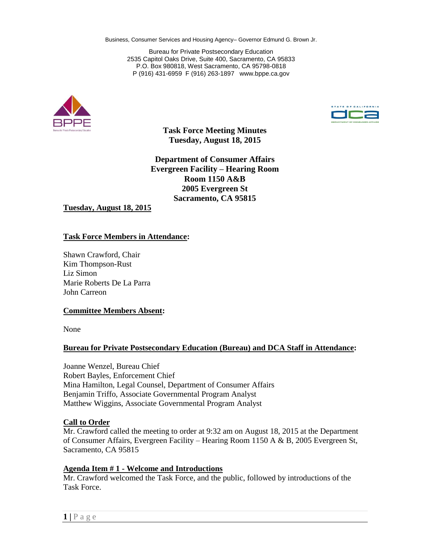Business, Consumer Services and Housing Agency– Governor Edmund G. Brown Jr.

Bureau for Private Postsecondary Education 2535 Capitol Oaks Drive, Suite 400, Sacramento, CA 95833 P.O. Box 980818, West Sacramento, CA 95798-0818 P (916) 431-6959 F (916) 263-1897 www.bppe.ca.gov





**Task Force Meeting Minutes Tuesday, August 18, 2015**

**Department of Consumer Affairs Evergreen Facility – Hearing Room Room 1150 A&B 2005 Evergreen St Sacramento, CA 95815**

**Tuesday, August 18, 2015**

#### **Task Force Members in Attendance:**

Shawn Crawford, Chair Kim Thompson-Rust Liz Simon Marie Roberts De La Parra John Carreon

#### **Committee Members Absent:**

None

#### **Bureau for Private Postsecondary Education (Bureau) and DCA Staff in Attendance:**

Joanne Wenzel, Bureau Chief Robert Bayles, Enforcement Chief Mina Hamilton, Legal Counsel, Department of Consumer Affairs Benjamin Triffo, Associate Governmental Program Analyst Matthew Wiggins, Associate Governmental Program Analyst

#### **Call to Order**

Mr. Crawford called the meeting to order at 9:32 am on August 18, 2015 at the Department of Consumer Affairs, Evergreen Facility – Hearing Room 1150 A & B, 2005 Evergreen St, Sacramento, CA 95815

#### **Agenda Item # 1 - Welcome and Introductions**

Mr. Crawford welcomed the Task Force, and the public, followed by introductions of the Task Force.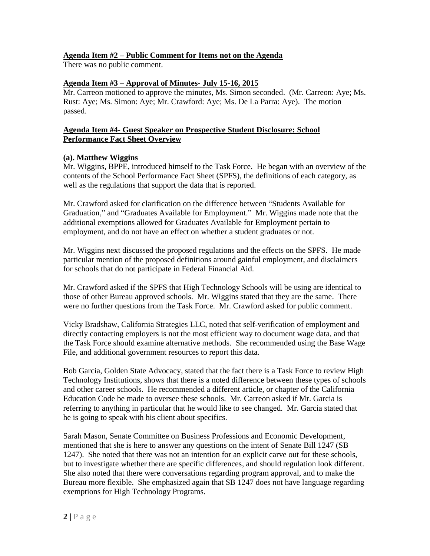# **Agenda Item #2 – Public Comment for Items not on the Agenda**

There was no public comment.

# **Agenda Item #3 – Approval of Minutes- July 15-16, 2015**

Mr. Carreon motioned to approve the minutes, Ms. Simon seconded. (Mr. Carreon: Aye; Ms. Rust: Aye; Ms. Simon: Aye; Mr. Crawford: Aye; Ms. De La Parra: Aye). The motion passed.

### **Agenda Item #4- Guest Speaker on Prospective Student Disclosure: School Performance Fact Sheet Overview**

# **(a). Matthew Wiggins**

Mr. Wiggins, BPPE, introduced himself to the Task Force. He began with an overview of the contents of the School Performance Fact Sheet (SPFS), the definitions of each category, as well as the regulations that support the data that is reported.

Mr. Crawford asked for clarification on the difference between "Students Available for Graduation," and "Graduates Available for Employment." Mr. Wiggins made note that the additional exemptions allowed for Graduates Available for Employment pertain to employment, and do not have an effect on whether a student graduates or not.

Mr. Wiggins next discussed the proposed regulations and the effects on the SPFS. He made particular mention of the proposed definitions around gainful employment, and disclaimers for schools that do not participate in Federal Financial Aid.

Mr. Crawford asked if the SPFS that High Technology Schools will be using are identical to those of other Bureau approved schools. Mr. Wiggins stated that they are the same. There were no further questions from the Task Force. Mr. Crawford asked for public comment.

Vicky Bradshaw, California Strategies LLC, noted that self-verification of employment and directly contacting employers is not the most efficient way to document wage data, and that the Task Force should examine alternative methods. She recommended using the Base Wage File, and additional government resources to report this data.

Bob Garcia, Golden State Advocacy, stated that the fact there is a Task Force to review High Technology Institutions, shows that there is a noted difference between these types of schools and other career schools. He recommended a different article, or chapter of the California Education Code be made to oversee these schools. Mr. Carreon asked if Mr. Garcia is referring to anything in particular that he would like to see changed. Mr. Garcia stated that he is going to speak with his client about specifics.

Sarah Mason, Senate Committee on Business Professions and Economic Development, mentioned that she is here to answer any questions on the intent of Senate Bill 1247 (SB 1247). She noted that there was not an intention for an explicit carve out for these schools, but to investigate whether there are specific differences, and should regulation look different. She also noted that there were conversations regarding program approval, and to make the Bureau more flexible. She emphasized again that SB 1247 does not have language regarding exemptions for High Technology Programs.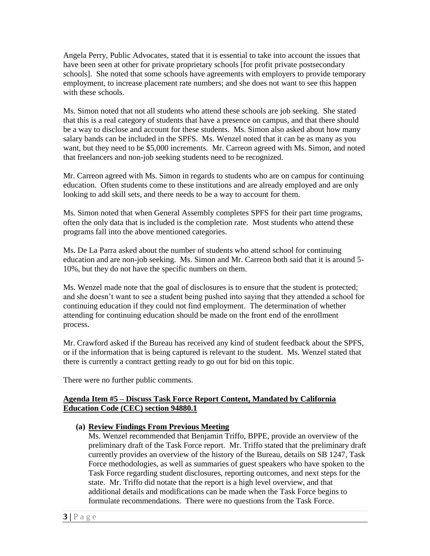Angela Perry, Public Advocates, stated that it is essential to take into account the issues that have been seen at other for private proprietary schools [for profit private postsecondary schools]. She noted that some schools have agreements with employers to provide temporary employment, to increase placement rate numbers; and she does not want to see this happen with these schools.

Ms. Simon noted that not all students who attend these schools are job seeking. She stated that this is a real category of students that have a presence on campus, and that there should be a way to disclose and account for these students. Ms. Simon also asked about how many salary bands can be included in the SPFS. Ms. Wenzel noted that it can be as many as you want, but they need to be \$5,000 increments. Mr. Carreon agreed with Ms. Simon, and noted that freelancers and non-job seeking students need to be recognized.

Mr. Carreon agreed with Ms. Simon in regards to students who are on campus for continuing education. Often students come to these institutions and are already employed and are only looking to add skill sets, and there needs to be a way to account for them.

Ms. Simon noted that when General Assembly completes SPFS for their part time programs, often the only data that is included is the completion rate. Most students who attend these programs fall into the above mentioned categories.

Ms. De La Parra asked about the number of students who attend school for continuing education and are non-job seeking. Ms. Simon and Mr. Carreon both said that it is around 5- 10%, but they do not have the specific numbers on them.

Ms. Wenzel made note that the goal of disclosures is to ensure that the student is protected; and she doesn't want to see a student being pushed into saying that they attended a school for continuing education if they could not find employment. The determination of whether attending for continuing education should be made on the front end of the enrollment process.

Mr. Crawford asked if the Bureau has received any kind of student feedback about the SPFS, or if the information that is being captured is relevant to the student. Ms. Wenzel stated that there is currently a contract getting ready to go out for bid on this topic.

There were no further public comments.

### **Agenda Item #5 – Discuss Task Force Report Content, Mandated by California Education Code (CEC) section 94880.1**

**(a) Review Findings From Previous Meeting**

Ms. Wenzel recommended that Benjamin Triffo, BPPE, provide an overview of the preliminary draft of the Task Force report. Mr. Triffo stated that the preliminary draft currently provides an overview of the history of the Bureau, details on SB 1247, Task Force methodologies, as well as summaries of guest speakers who have spoken to the Task Force regarding student disclosures, reporting outcomes, and next steps for the state. Mr. Triffo did notate that the report is a high level overview, and that additional details and modifications can be made when the Task Force begins to formulate recommendations. There were no questions from the Task Force.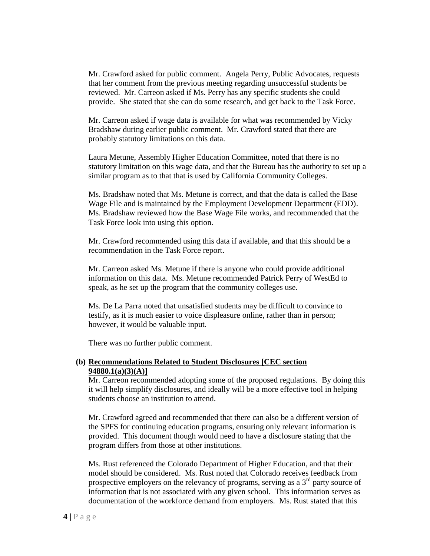Mr. Crawford asked for public comment. Angela Perry, Public Advocates, requests that her comment from the previous meeting regarding unsuccessful students be reviewed. Mr. Carreon asked if Ms. Perry has any specific students she could provide. She stated that she can do some research, and get back to the Task Force.

Mr. Carreon asked if wage data is available for what was recommended by Vicky Bradshaw during earlier public comment. Mr. Crawford stated that there are probably statutory limitations on this data.

Laura Metune, Assembly Higher Education Committee, noted that there is no statutory limitation on this wage data, and that the Bureau has the authority to set up a similar program as to that that is used by California Community Colleges.

Ms. Bradshaw noted that Ms. Metune is correct, and that the data is called the Base Wage File and is maintained by the Employment Development Department (EDD). Ms. Bradshaw reviewed how the Base Wage File works, and recommended that the Task Force look into using this option.

Mr. Crawford recommended using this data if available, and that this should be a recommendation in the Task Force report.

Mr. Carreon asked Ms. Metune if there is anyone who could provide additional information on this data. Ms. Metune recommended Patrick Perry of WestEd to speak, as he set up the program that the community colleges use.

Ms. De La Parra noted that unsatisfied students may be difficult to convince to testify, as it is much easier to voice displeasure online, rather than in person; however, it would be valuable input.

There was no further public comment.

### **(b) Recommendations Related to Student Disclosures [CEC section 94880.1(a)(3)(A)]**

Mr. Carreon recommended adopting some of the proposed regulations. By doing this it will help simplify disclosures, and ideally will be a more effective tool in helping students choose an institution to attend.

Mr. Crawford agreed and recommended that there can also be a different version of the SPFS for continuing education programs, ensuring only relevant information is provided. This document though would need to have a disclosure stating that the program differs from those at other institutions.

Ms. Rust referenced the Colorado Department of Higher Education, and that their model should be considered. Ms. Rust noted that Colorado receives feedback from prospective employers on the relevancy of programs, serving as a  $3<sup>rd</sup>$  party source of information that is not associated with any given school. This information serves as documentation of the workforce demand from employers. Ms. Rust stated that this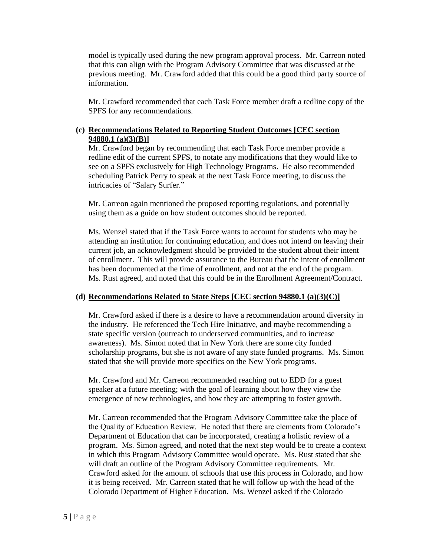model is typically used during the new program approval process. Mr. Carreon noted that this can align with the Program Advisory Committee that was discussed at the previous meeting. Mr. Crawford added that this could be a good third party source of information.

Mr. Crawford recommended that each Task Force member draft a redline copy of the SPFS for any recommendations.

## **(c) Recommendations Related to Reporting Student Outcomes [CEC section 94880.1 (a)(3)(B)]**

Mr. Crawford began by recommending that each Task Force member provide a redline edit of the current SPFS, to notate any modifications that they would like to see on a SPFS exclusively for High Technology Programs. He also recommended scheduling Patrick Perry to speak at the next Task Force meeting, to discuss the intricacies of "Salary Surfer."

Mr. Carreon again mentioned the proposed reporting regulations, and potentially using them as a guide on how student outcomes should be reported.

Ms. Wenzel stated that if the Task Force wants to account for students who may be attending an institution for continuing education, and does not intend on leaving their current job, an acknowledgment should be provided to the student about their intent of enrollment. This will provide assurance to the Bureau that the intent of enrollment has been documented at the time of enrollment, and not at the end of the program. Ms. Rust agreed, and noted that this could be in the Enrollment Agreement/Contract.

# **(d) Recommendations Related to State Steps [CEC section 94880.1 (a)(3)(C)]**

Mr. Crawford asked if there is a desire to have a recommendation around diversity in the industry. He referenced the Tech Hire Initiative, and maybe recommending a state specific version (outreach to underserved communities, and to increase awareness). Ms. Simon noted that in New York there are some city funded scholarship programs, but she is not aware of any state funded programs. Ms. Simon stated that she will provide more specifics on the New York programs.

Mr. Crawford and Mr. Carreon recommended reaching out to EDD for a guest speaker at a future meeting; with the goal of learning about how they view the emergence of new technologies, and how they are attempting to foster growth.

Mr. Carreon recommended that the Program Advisory Committee take the place of the Quality of Education Review. He noted that there are elements from Colorado's Department of Education that can be incorporated, creating a holistic review of a program. Ms. Simon agreed, and noted that the next step would be to create a context in which this Program Advisory Committee would operate. Ms. Rust stated that she will draft an outline of the Program Advisory Committee requirements. Mr. Crawford asked for the amount of schools that use this process in Colorado, and how it is being received. Mr. Carreon stated that he will follow up with the head of the Colorado Department of Higher Education. Ms. Wenzel asked if the Colorado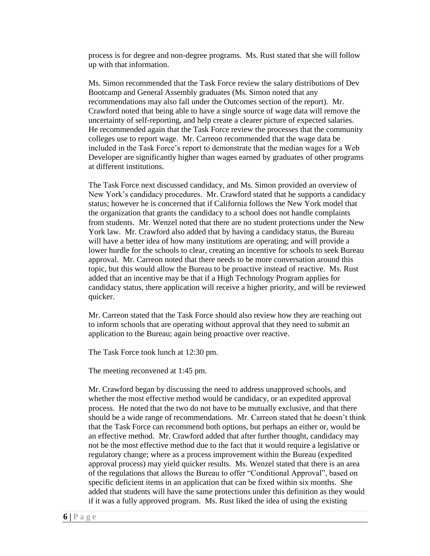process is for degree and non-degree programs. Ms. Rust stated that she will follow up with that information.

Ms. Simon recommended that the Task Force review the salary distributions of Dev Bootcamp and General Assembly graduates (Ms. Simon noted that any recommendations may also fall under the Outcomes section of the report). Mr. Crawford noted that being able to have a single source of wage data will remove the uncertainty of self-reporting, and help create a clearer picture of expected salaries. He recommended again that the Task Force review the processes that the community colleges use to report wage. Mr. Carreon recommended that the wage data be included in the Task Force's report to demonstrate that the median wages for a Web Developer are significantly higher than wages earned by graduates of other programs at different institutions.

The Task Force next discussed candidacy, and Ms. Simon provided an overview of New York's candidacy procedures. Mr. Crawford stated that he supports a candidacy status; however he is concerned that if California follows the New York model that the organization that grants the candidacy to a school does not handle complaints from students. Mr. Wenzel noted that there are no student protections under the New York law. Mr. Crawford also added that by having a candidacy status, the Bureau will have a better idea of how many institutions are operating; and will provide a lower hurdle for the schools to clear, creating an incentive for schools to seek Bureau approval. Mr. Carreon noted that there needs to be more conversation around this topic, but this would allow the Bureau to be proactive instead of reactive. Ms. Rust added that an incentive may be that if a High Technology Program applies for candidacy status, there application will receive a higher priority, and will be reviewed quicker.

Mr. Carreon stated that the Task Force should also review how they are reaching out to inform schools that are operating without approval that they need to submit an application to the Bureau; again being proactive over reactive.

The Task Force took lunch at 12:30 pm.

The meeting reconvened at 1:45 pm.

Mr. Crawford began by discussing the need to address unapproved schools, and whether the most effective method would be candidacy, or an expedited approval process. He noted that the two do not have to be mutually exclusive, and that there should be a wide range of recommendations. Mr. Carreon stated that he doesn't think that the Task Force can recommend both options, but perhaps an either or, would be an effective method. Mr. Crawford added that after further thought, candidacy may not be the most effective method due to the fact that it would require a legislative or regulatory change; where as a process improvement within the Bureau (expedited approval process) may yield quicker results. Ms. Wenzel stated that there is an area of the regulations that allows the Bureau to offer "Conditional Approval", based on specific deficient items in an application that can be fixed within six months. She added that students will have the same protections under this definition as they would if it was a fully approved program. Ms. Rust liked the idea of using the existing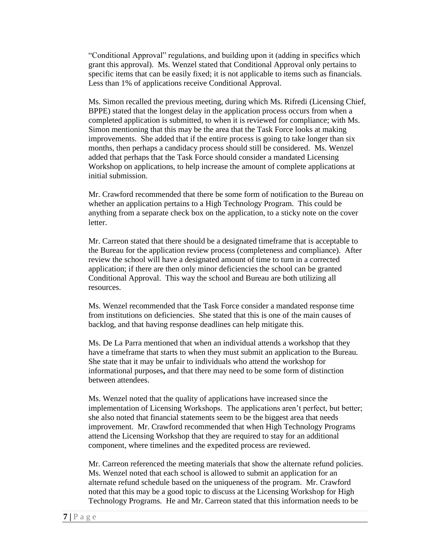"Conditional Approval" regulations, and building upon it (adding in specifics which grant this approval). Ms. Wenzel stated that Conditional Approval only pertains to specific items that can be easily fixed; it is not applicable to items such as financials. Less than 1% of applications receive Conditional Approval.

Ms. Simon recalled the previous meeting, during which Ms. Rifredi (Licensing Chief, BPPE) stated that the longest delay in the application process occurs from when a completed application is submitted, to when it is reviewed for compliance; with Ms. Simon mentioning that this may be the area that the Task Force looks at making improvements. She added that if the entire process is going to take longer than six months, then perhaps a candidacy process should still be considered. Ms. Wenzel added that perhaps that the Task Force should consider a mandated Licensing Workshop on applications, to help increase the amount of complete applications at initial submission.

Mr. Crawford recommended that there be some form of notification to the Bureau on whether an application pertains to a High Technology Program. This could be anything from a separate check box on the application, to a sticky note on the cover letter.

Mr. Carreon stated that there should be a designated timeframe that is acceptable to the Bureau for the application review process (completeness and compliance). After review the school will have a designated amount of time to turn in a corrected application; if there are then only minor deficiencies the school can be granted Conditional Approval. This way the school and Bureau are both utilizing all resources.

Ms. Wenzel recommended that the Task Force consider a mandated response time from institutions on deficiencies. She stated that this is one of the main causes of backlog, and that having response deadlines can help mitigate this.

Ms. De La Parra mentioned that when an individual attends a workshop that they have a timeframe that starts to when they must submit an application to the Bureau. She state that it may be unfair to individuals who attend the workshop for informational purposes**,** and that there may need to be some form of distinction between attendees.

Ms. Wenzel noted that the quality of applications have increased since the implementation of Licensing Workshops. The applications aren't perfect, but better; she also noted that financial statements seem to be the biggest area that needs improvement. Mr. Crawford recommended that when High Technology Programs attend the Licensing Workshop that they are required to stay for an additional component, where timelines and the expedited process are reviewed.

Mr. Carreon referenced the meeting materials that show the alternate refund policies. Ms. Wenzel noted that each school is allowed to submit an application for an alternate refund schedule based on the uniqueness of the program. Mr. Crawford noted that this may be a good topic to discuss at the Licensing Workshop for High Technology Programs. He and Mr. Carreon stated that this information needs to be